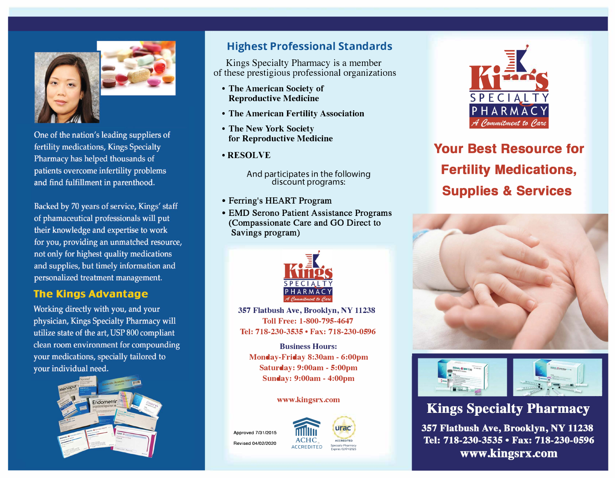



One of the nation's leading suppliers of fertility medications, Kings Specialty Pharmacy has helped thousands of patients overcome infertility problems and find fulfillment in parenthood.

Backed by 70 years of service, Kings' staff of phamaceutical professionals will put their knowledge and expertise to work for you, providing an unmatched resource, not only for highest quality medications and supplies, but timely information and personalized treatment management.

#### **The Kings Advantage**

Working directly with you, and your physician, Kings Specialty Pharmacy will utilize state of the art, USP 800 compliant clean room environment for compounding your medications, specially tailored to your individual need.



## **Highest Professional Standards**

Kings Specialty Pharmacy is a member of these prestigious professional organizations

- **• The American Society of Reproductive Medicine**
- **• The American Fertility Association**
- **• The New York Society for Reproductive Medicine**
- **•RESOLVE**

And participates in the following discount programs:

- Ferring's HEART Program
- EMD Serono Patient Assistance Programs (Compassionate Care and GO Direct to Savings program)



**357 Flatbush Ave, Brooklyn, NY 11238 Toll Free: 1-800-795-4647 Tel: 718-230-3535 • Fax: 718-230-0596** 

**Business Hours: Monday-Friday 8:30am - 6:00pm Saturday: 9:00am - 5:00pm Sunday: 9:00am - 4:00pm** 

#### **www.kingsrx.com**

Approved 7/31/2015 Revised 04/02/2020







**Your Best Resource for Fertility Medications, Supplies & Services** 





# **Kings Specialty Pharmacy**

357 Flatbush Ave, Brooklyn, NY 11238 Tel: 718-230-3535 • Fax: 718-230-0596 www.kingsrx.com